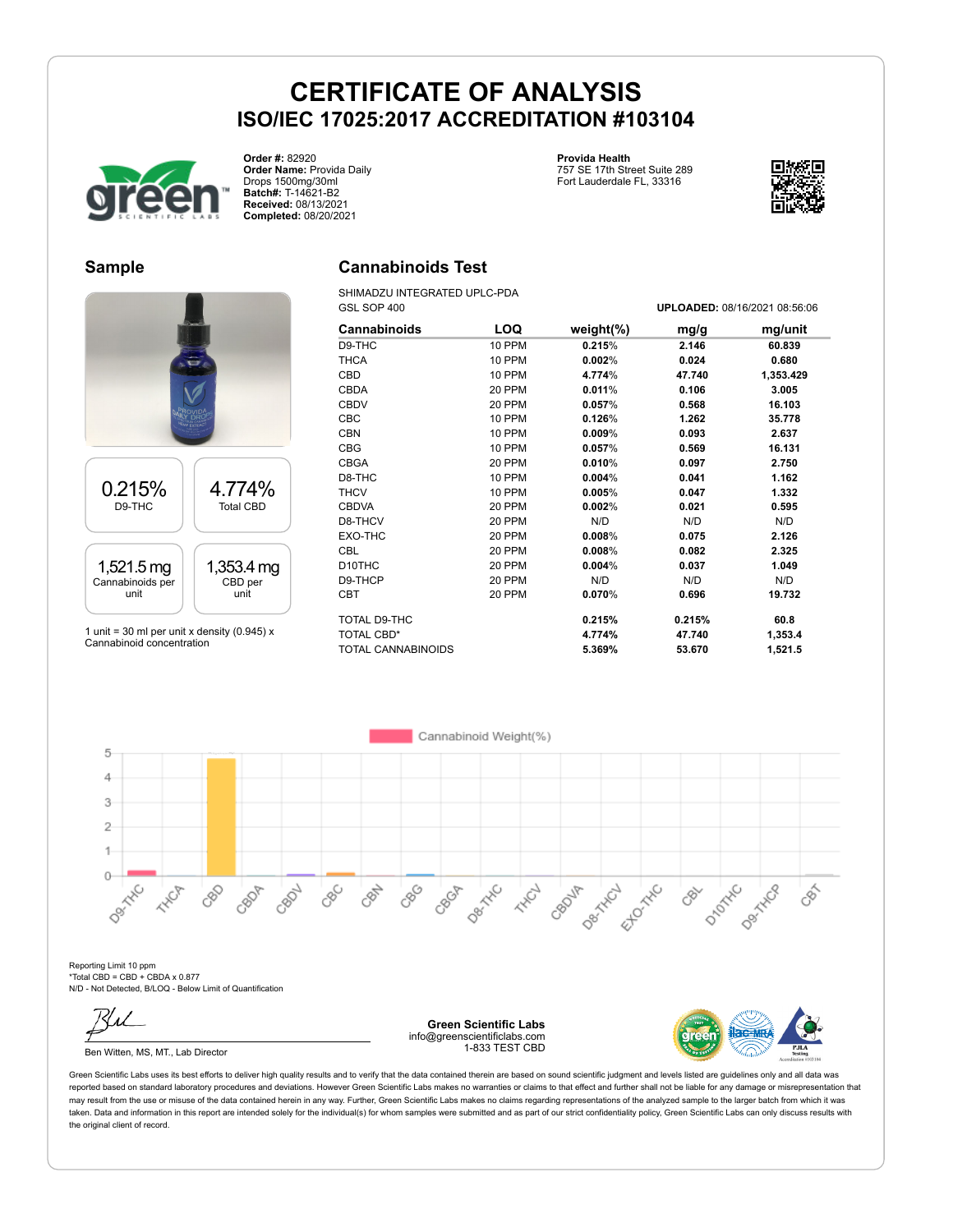

**Order #:** 82920 **Order Name:** Provida Daily Drops 1500mg/30ml **Batch#:** T-14621-B2 **Received:** 08/13/2021 **Completed:** 08/20/2021

**Provida Health**

757 SE 17th Street Suite 289 Fort Lauderdale FL, 33316



#### **Sample**



1 unit = 30 ml per unit x density (0.945)  $x$ Cannabinoid concentration

### **Cannabinoids Test**

SHIMADZU INTEGRATED UPLC-PDA GSL SOP 400 **UPLOADED:** 08/16/2021 08:56:06

| <b>Cannabinoids</b>       | LOQ    | weight $(\%)$ | mg/g   | mg/unit   |
|---------------------------|--------|---------------|--------|-----------|
| D9-THC                    | 10 PPM | 0.215%        | 2.146  | 60.839    |
|                           |        |               |        |           |
| <b>THCA</b>               | 10 PPM | 0.002%        | 0.024  | 0.680     |
| CBD                       | 10 PPM | 4.774%        | 47.740 | 1,353.429 |
| <b>CBDA</b>               | 20 PPM | 0.011%        | 0.106  | 3.005     |
| <b>CBDV</b>               | 20 PPM | 0.057%        | 0.568  | 16.103    |
| <b>CBC</b>                | 10 PPM | 0.126%        | 1.262  | 35.778    |
| <b>CBN</b>                | 10 PPM | $0.009\%$     | 0.093  | 2.637     |
| <b>CBG</b>                | 10 PPM | 0.057%        | 0.569  | 16.131    |
| <b>CBGA</b>               | 20 PPM | 0.010%        | 0.097  | 2.750     |
| D8-THC                    | 10 PPM | 0.004%        | 0.041  | 1.162     |
| <b>THCV</b>               | 10 PPM | 0.005%        | 0.047  | 1.332     |
| <b>CBDVA</b>              | 20 PPM | 0.002%        | 0.021  | 0.595     |
| D8-THCV                   | 20 PPM | N/D           | N/D    | N/D       |
| EXO-THC                   | 20 PPM | 0.008%        | 0.075  | 2.126     |
| <b>CBL</b>                | 20 PPM | 0.008%        | 0.082  | 2.325     |
| D <sub>10</sub> THC       | 20 PPM | 0.004%        | 0.037  | 1.049     |
| D9-THCP                   | 20 PPM | N/D           | N/D    | N/D       |
| <b>CBT</b>                | 20 PPM | 0.070%        | 0.696  | 19.732    |
| TOTAL D9-THC              |        | 0.215%        | 0.215% | 60.8      |
| <b>TOTAL CBD*</b>         |        | 4.774%        | 47.740 | 1,353.4   |
| <b>TOTAL CANNABINOIDS</b> |        | 5.369%        | 53.670 | 1,521.5   |

Cannabinoid Weight(%) 5  $\overline{4}$ 3  $\overline{2}$ 1  $\circ$ Desimilation D<sub>202x</sub>C **Desimination** CBC 890 Dentroil Dentrica 880 CBOLL I CBN CBOT Ellowski **HADR** CBOP **HARCH** CBOJA EEE  $\mathcal{S}^{\sim}$ 

Reporting Limit 10 ppm \*Total CBD = CBD + CBDA x 0.877 N/D - Not Detected, B/LOQ - Below Limit of Quantification

Ben Witten, MS, MT., Lab Director

**Green Scientific Labs** info@greenscientificlabs.com 1-833 TEST CBD

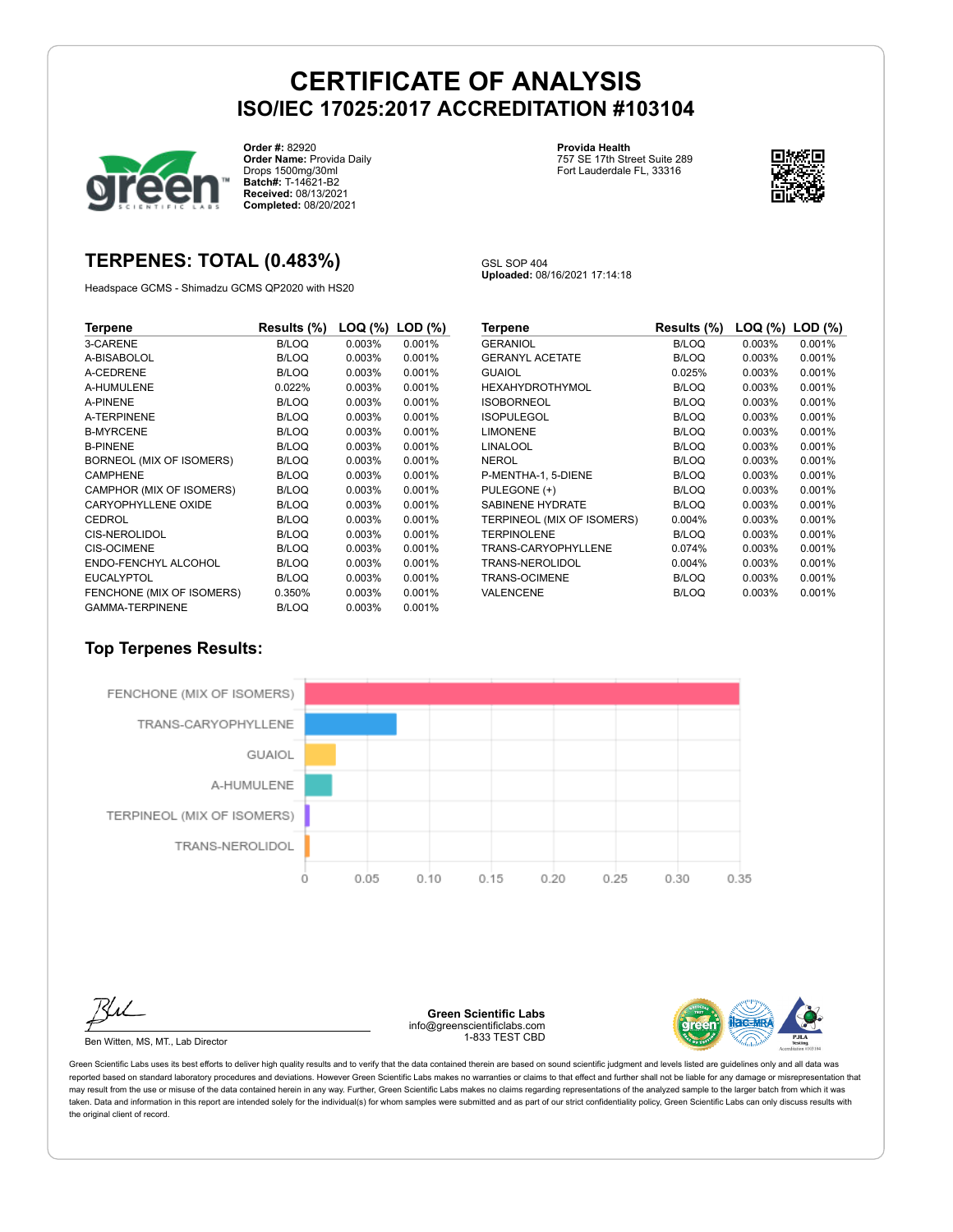

**Order #:** 82920 **Order Name:** Provida Daily Drops 1500mg/30ml **Batch#:** T-14621-B2 **Received:** 08/13/2021 **Completed:** 08/20/2021

### **TERPENES: TOTAL (0.483%)**

Headspace GCMS - Shimadzu GCMS QP2020 with HS20

**Uploaded:** 08/16/2021 17:14:18

GSL SOP 404

**Provida Health**

757 SE 17th Street Suite 289 Fort Lauderdale FL, 33316

**Terpene Results (%) LOQ (%) LOD (%)** 3-CARENE B/LOQ 0.003% 0.001% A-BISABOLOL A-CEDRENE B/LOQ 0.003% 0.001% A-HUMULENE 0.022% 0.003% 0.001% A-PINENE B/LOQ 0.003% 0.001% A-TERPINENE B/LOQ 0.003% 0.001% B-MYRCENE B/LOQ 0.003% 0.001% B-PINENE B/LOQ 0.003% 0.001% BORNEOL (MIX OF ISOMERS) B/LOQ 0.003% 0.001% CAMPHENE B/LOQ 0.003% 0.001%<br>CAMPHOR (MIX OF ISOMERS) B/LOQ 0.003% 0.001% CAMPHOR (MIX OF ISOMERS) CARYOPHYLLENE OXIDE B/LOQ 0.003% 0.001% CEDROL B/LOQ 0.003% 0.001% CIS-NEROLIDOL B/LOQ 0.003% 0.001% CIS-OCIMENE B/LOQ 0.003% 0.001% ENDO-FENCHYL ALCOHOL B/LOQ 0.003% 0.001% EUCALYPTOL B/LOQ 0.003% 0.001% FENCHONE (MIX OF ISOMERS) 0.350% 0.003% 0.001% GAMMA-TERPINENE B/LOQ 0.003% 0.001%

| Results (%)  | LOQ (%) | $LOD$ $(\%)$ |
|--------------|---------|--------------|
| <b>B/LOQ</b> | 0.003%  | 0.001%       |
| B/LOQ        | 0.003%  | 0.001%       |
| 0.025%       | 0.003%  | 0.001%       |
| <b>B/LOQ</b> | 0.003%  | 0.001%       |
| B/LOQ        | 0.003%  | 0.001%       |
| B/LOQ        | 0.003%  | 0.001%       |
| B/LOQ        | 0.003%  | 0.001%       |
| B/LOQ        | 0.003%  | 0.001%       |
| B/LOQ        | 0.003%  | 0.001%       |
| <b>B/LOQ</b> | 0.003%  | 0.001%       |
| <b>B/LOQ</b> | 0.003%  | 0.001%       |
| <b>B/LOQ</b> | 0.003%  | 0.001%       |
| 0.004%       | 0.003%  | 0.001%       |
| B/LOQ        | 0.003%  | 0.001%       |
| 0.074%       | 0.003%  | 0.001%       |
| 0.004%       | 0.003%  | 0.001%       |
| B/LOQ        | 0.003%  | 0.001%       |
| <b>B/LOQ</b> | 0.003%  | 0.001%       |
|              |         |              |

#### **Top Terpenes Results:**



Ben Witten, MS, MT., Lab Director

**Green Scientific Labs** info@greenscientificlabs.com 1-833 TEST CBD



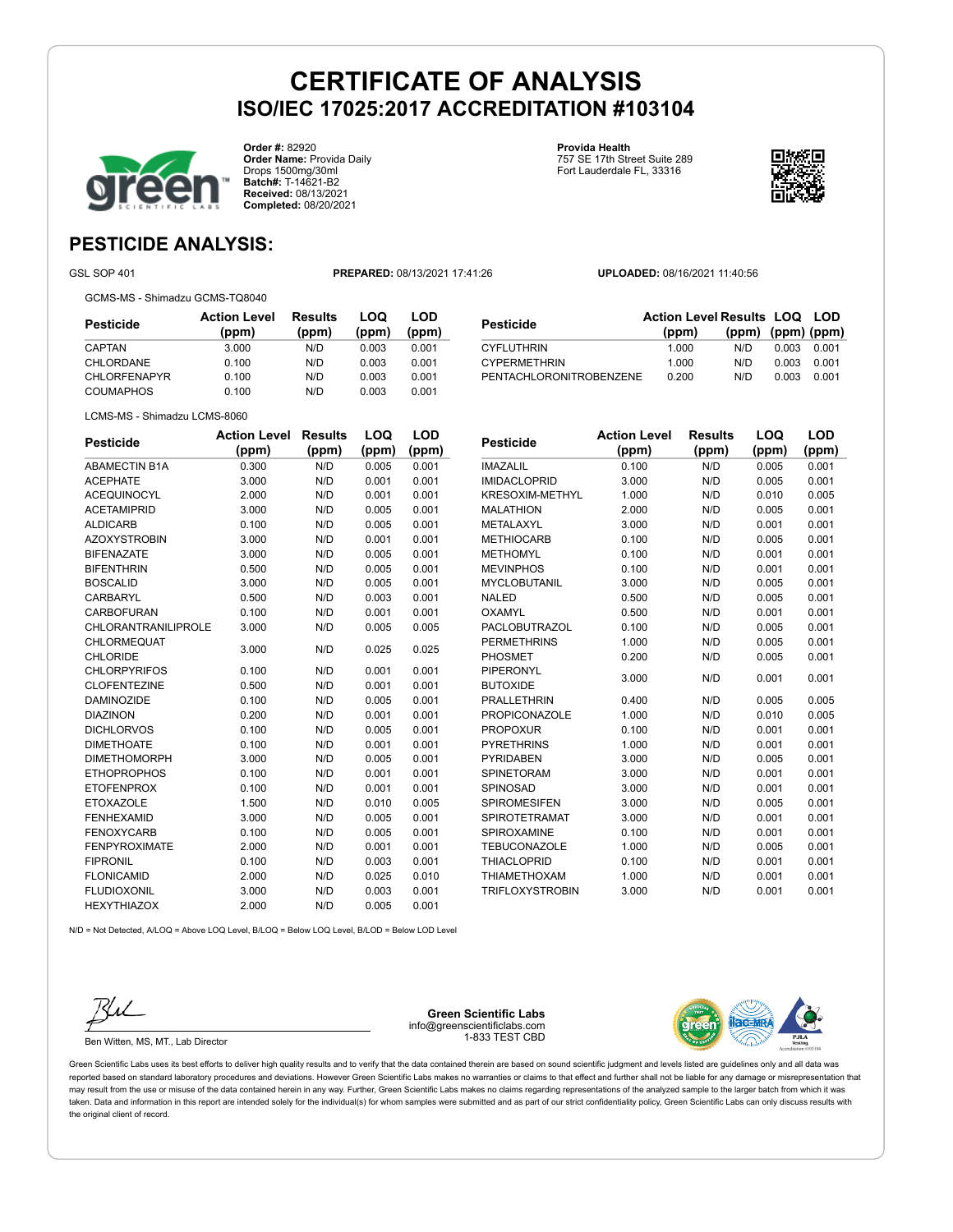

**Order #:** 82920 **Order Name:** Provida Daily Drops 1500mg/30ml **Batch#:** T-14621-B2 **Received:** 08/13/2021 **Completed:** 08/20/2021

**Provida Health** 757 SE 17th Street Suite 289 Fort Lauderdale FL, 33316



**LOD**

### **PESTICIDE ANALYSIS:**

GSL SOP 401 **PREPARED:** 08/13/2021 17:41:26 **UPLOADED:** 08/16/2021 11:40:56

GCMS-MS - Shimadzu GCMS-TQ8040

| Pesticide           | <b>Action Level</b><br>(ppm) | <b>Results</b><br>(ppm) | LOQ<br>(ppm) | LOD<br>(ppm) |
|---------------------|------------------------------|-------------------------|--------------|--------------|
| CAPTAN              | 3.000                        | N/D                     | 0.003        | 0.001        |
| CHLORDANE           | 0.100                        | N/D                     | 0.003        | 0.001        |
| <b>CHLORFENAPYR</b> | 0.100                        | N/D                     | 0.003        | 0.001        |
| <b>COUMAPHOS</b>    | 0.100                        | N/D                     | 0.003        | 0.001        |

| Pesticide               | <b>Action Level Results LOQ LOD</b> |                         |       |       |
|-------------------------|-------------------------------------|-------------------------|-------|-------|
|                         | (ppm)                               | $(ppm)$ $(ppm)$ $(ppm)$ |       |       |
| <b>CYFLUTHRIN</b>       | 1.000                               | N/D.                    | 0.003 | 0.001 |
| <b>CYPERMETHRIN</b>     | 1.000                               | N/D                     | 0.003 | 0.001 |
| PENTACHLORONITROBENZENE | 0.200                               | N/D                     | 0.003 | 0.001 |

| Action                       |  |
|------------------------------|--|
| LCMS-MS - Shimadzu LCMS-8060 |  |

| <b>Pesticide</b>           | <b>Action Level</b> | Results | LOQ   | LOD   |
|----------------------------|---------------------|---------|-------|-------|
|                            | (ppm)               | (ppm)   | (ppm) | (ppm) |
| <b>ABAMECTIN B1A</b>       | 0.300               | N/D     | 0.005 | 0.001 |
| <b>ACEPHATE</b>            | 3.000               | N/D     | 0.001 | 0.001 |
| <b>ACEQUINOCYL</b>         | 2.000               | N/D     | 0.001 | 0.001 |
| <b>ACETAMIPRID</b>         | 3.000               | N/D     | 0.005 | 0.001 |
| <b>ALDICARB</b>            | 0.100               | N/D     | 0.005 | 0.001 |
| <b>AZOXYSTROBIN</b>        | 3.000               | N/D     | 0.001 | 0.001 |
| <b>BIFENAZATE</b>          | 3.000               | N/D     | 0.005 | 0.001 |
| <b>BIFENTHRIN</b>          | 0.500               | N/D     | 0.005 | 0.001 |
| <b>BOSCALID</b>            | 3.000               | N/D     | 0.005 | 0.001 |
| CARBARYL                   | 0.500               | N/D     | 0.003 | 0.001 |
| <b>CARBOFURAN</b>          | 0.100               | N/D     | 0.001 | 0.001 |
| <b>CHLORANTRANILIPROLE</b> | 3.000               | N/D     | 0.005 | 0.005 |
| <b>CHLORMEQUAT</b>         |                     | N/D     |       |       |
| <b>CHLORIDE</b>            | 3.000               |         | 0.025 | 0.025 |
| <b>CHLORPYRIFOS</b>        | 0.100               | N/D     | 0.001 | 0.001 |
| <b>CLOFENTEZINE</b>        | 0.500               | N/D     | 0.001 | 0.001 |
| <b>DAMINOZIDE</b>          | 0.100               | N/D     | 0.005 | 0.001 |
| <b>DIAZINON</b>            | 0.200               | N/D     | 0.001 | 0.001 |
| <b>DICHLORVOS</b>          | 0.100               | N/D     | 0.005 | 0.001 |
| <b>DIMETHOATE</b>          | 0.100               | N/D     | 0.001 | 0.001 |
| <b>DIMETHOMORPH</b>        | 3.000               | N/D     | 0.005 | 0.001 |
| <b>ETHOPROPHOS</b>         | 0.100               | N/D     | 0.001 | 0.001 |
| <b>ETOFENPROX</b>          | 0.100               | N/D     | 0.001 | 0.001 |
| <b>ETOXAZOLE</b>           | 1.500               | N/D     | 0.010 | 0.005 |
| <b>FENHEXAMID</b>          | 3.000               | N/D     | 0.005 | 0.001 |
| <b>FENOXYCARB</b>          | 0.100               | N/D     | 0.005 | 0.001 |
| <b>FENPYROXIMATE</b>       | 2.000               | N/D     | 0.001 | 0.001 |
| <b>FIPRONIL</b>            | 0.100               | N/D     | 0.003 | 0.001 |
| <b>FLONICAMID</b>          | 2.000               | N/D     | 0.025 | 0.010 |
| <b>FLUDIOXONIL</b>         | 3.000               | N/D     | 0.003 | 0.001 |
| <b>HEXYTHIAZOX</b>         | 2.000               | N/D     | 0.005 | 0.001 |

| <b>Pesticide</b>       | Action Level | Results | LOQ   | LOD   |
|------------------------|--------------|---------|-------|-------|
|                        | (ppm)        | (ppm)   | (ppm) | (ppm) |
| <b>IMAZALIL</b>        | 0.100        | N/D     | 0.005 | 0.001 |
| <b>IMIDACLOPRID</b>    | 3.000        | N/D     | 0.005 | 0.001 |
| <b>KRESOXIM-METHYL</b> | 1.000        | N/D     | 0.010 | 0.005 |
| <b>MALATHION</b>       | 2.000        | N/D     | 0.005 | 0.001 |
| <b>METALAXYL</b>       | 3.000        | N/D     | 0.001 | 0.001 |
| <b>METHIOCARB</b>      | 0.100        | N/D     | 0.005 | 0.001 |
| <b>METHOMYL</b>        | 0.100        | N/D     | 0.001 | 0.001 |
| <b>MEVINPHOS</b>       | 0.100        | N/D     | 0.001 | 0.001 |
| <b>MYCLOBUTANIL</b>    | 3.000        | N/D     | 0.005 | 0.001 |
| <b>NALED</b>           | 0.500        | N/D     | 0.005 | 0.001 |
| <b>OXAMYL</b>          | 0.500        | N/D     | 0.001 | 0.001 |
| PACLOBUTRAZOL          | 0.100        | N/D     | 0.005 | 0.001 |
| <b>PERMETHRINS</b>     | 1.000        | N/D     | 0.005 | 0.001 |
| PHOSMET                | 0.200        | N/D     | 0.005 | 0.001 |
| <b>PIPERONYL</b>       | 3.000        | N/D     | 0.001 | 0.001 |
| <b>BUTOXIDE</b>        |              |         |       |       |
| <b>PRALLETHRIN</b>     | 0.400        | N/D     | 0.005 | 0.005 |
| <b>PROPICONAZOLE</b>   | 1.000        | N/D     | 0.010 | 0.005 |
| <b>PROPOXUR</b>        | 0.100        | N/D     | 0.001 | 0.001 |
| <b>PYRETHRINS</b>      | 1.000        | N/D     | 0.001 | 0.001 |
| <b>PYRIDABEN</b>       | 3.000        | N/D     | 0.005 | 0.001 |
| <b>SPINETORAM</b>      | 3.000        | N/D     | 0.001 | 0.001 |
| SPINOSAD               | 3.000        | N/D     | 0.001 | 0.001 |
| <b>SPIROMESIFEN</b>    | 3.000        | N/D     | 0.005 | 0.001 |
| <b>SPIROTETRAMAT</b>   | 3.000        | N/D     | 0.001 | 0.001 |
| SPIROXAMINE            | 0.100        | N/D     | 0.001 | 0.001 |
| <b>TEBUCONAZOLE</b>    | 1.000        | N/D     | 0.005 | 0.001 |
| <b>THIACLOPRID</b>     | 0.100        | N/D     | 0.001 | 0.001 |
| <b>THIAMETHOXAM</b>    | 1.000        | N/D     | 0.001 | 0.001 |
| <b>TRIFLOXYSTROBIN</b> | 3.000        | N/D     | 0.001 | 0.001 |

 $N/D = N$ ot Detected, A/LOQ = Above LOQ Level, B/LOQ = Below LOQ Level, B/LOD = Below LOD Level



Ben Witten, MS, MT., Lab Director

**Green Scientific Labs** info@greenscientificlabs.com 1-833 TEST CBD

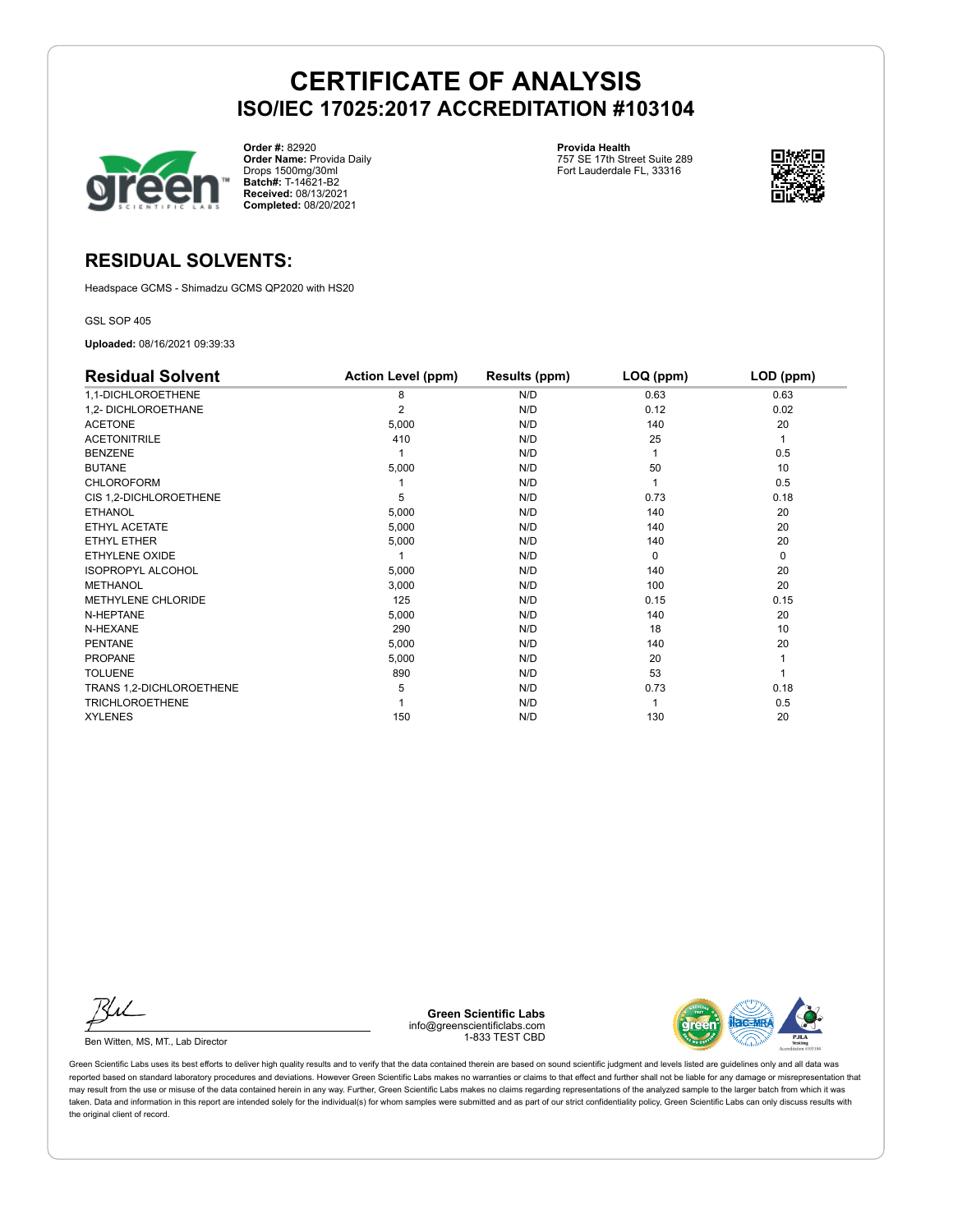

**Order #:** 82920 **Order Name:** Provida Daily Drops 1500mg/30ml **Batch#:** T-14621-B2 **Received:** 08/13/2021 **Completed:** 08/20/2021

**Provida Health** 757 SE 17th Street Suite 289 Fort Lauderdale FL, 33316



### **RESIDUAL SOLVENTS:**

Headspace GCMS - Shimadzu GCMS QP2020 with HS20

GSL SOP 405

**Uploaded:** 08/16/2021 09:39:33

| <b>Residual Solvent</b>   | <b>Action Level (ppm)</b> | Results (ppm) | LOQ (ppm) | LOD (ppm) |
|---------------------------|---------------------------|---------------|-----------|-----------|
| 1,1-DICHLOROETHENE        | 8                         | N/D           | 0.63      | 0.63      |
| 1,2- DICHLOROETHANE       | 2                         | N/D           | 0.12      | 0.02      |
| <b>ACETONE</b>            | 5,000                     | N/D           | 140       | 20        |
| <b>ACETONITRILE</b>       | 410                       | N/D           | 25        | 1         |
| <b>BENZENE</b>            |                           | N/D           |           | 0.5       |
| <b>BUTANE</b>             | 5,000                     | N/D           | 50        | 10        |
| <b>CHLOROFORM</b>         |                           | N/D           |           | 0.5       |
| CIS 1,2-DICHLOROETHENE    | 5                         | N/D           | 0.73      | 0.18      |
| <b>ETHANOL</b>            | 5,000                     | N/D           | 140       | 20        |
| ETHYL ACETATE             | 5,000                     | N/D           | 140       | 20        |
| ETHYL ETHER               | 5,000                     | N/D           | 140       | 20        |
| <b>ETHYLENE OXIDE</b>     |                           | N/D           | $\Omega$  | 0         |
| <b>ISOPROPYL ALCOHOL</b>  | 5,000                     | N/D           | 140       | 20        |
| <b>METHANOL</b>           | 3,000                     | N/D           | 100       | 20        |
| <b>METHYLENE CHLORIDE</b> | 125                       | N/D           | 0.15      | 0.15      |
| N-HEPTANE                 | 5,000                     | N/D           | 140       | 20        |
| N-HEXANE                  | 290                       | N/D           | 18        | 10        |
| <b>PENTANE</b>            | 5,000                     | N/D           | 140       | 20        |
| <b>PROPANE</b>            | 5,000                     | N/D           | 20        |           |
| <b>TOLUENE</b>            | 890                       | N/D           | 53        |           |
| TRANS 1,2-DICHLOROETHENE  | 5                         | N/D           | 0.73      | 0.18      |
| <b>TRICHLOROETHENE</b>    |                           | N/D           |           | 0.5       |
| <b>XYLENES</b>            | 150                       | N/D           | 130       | 20        |

Ku

Ben Witten, MS, MT., Lab Director

**Green Scientific Labs** info@greenscientificlabs.com 1-833 TEST CBD

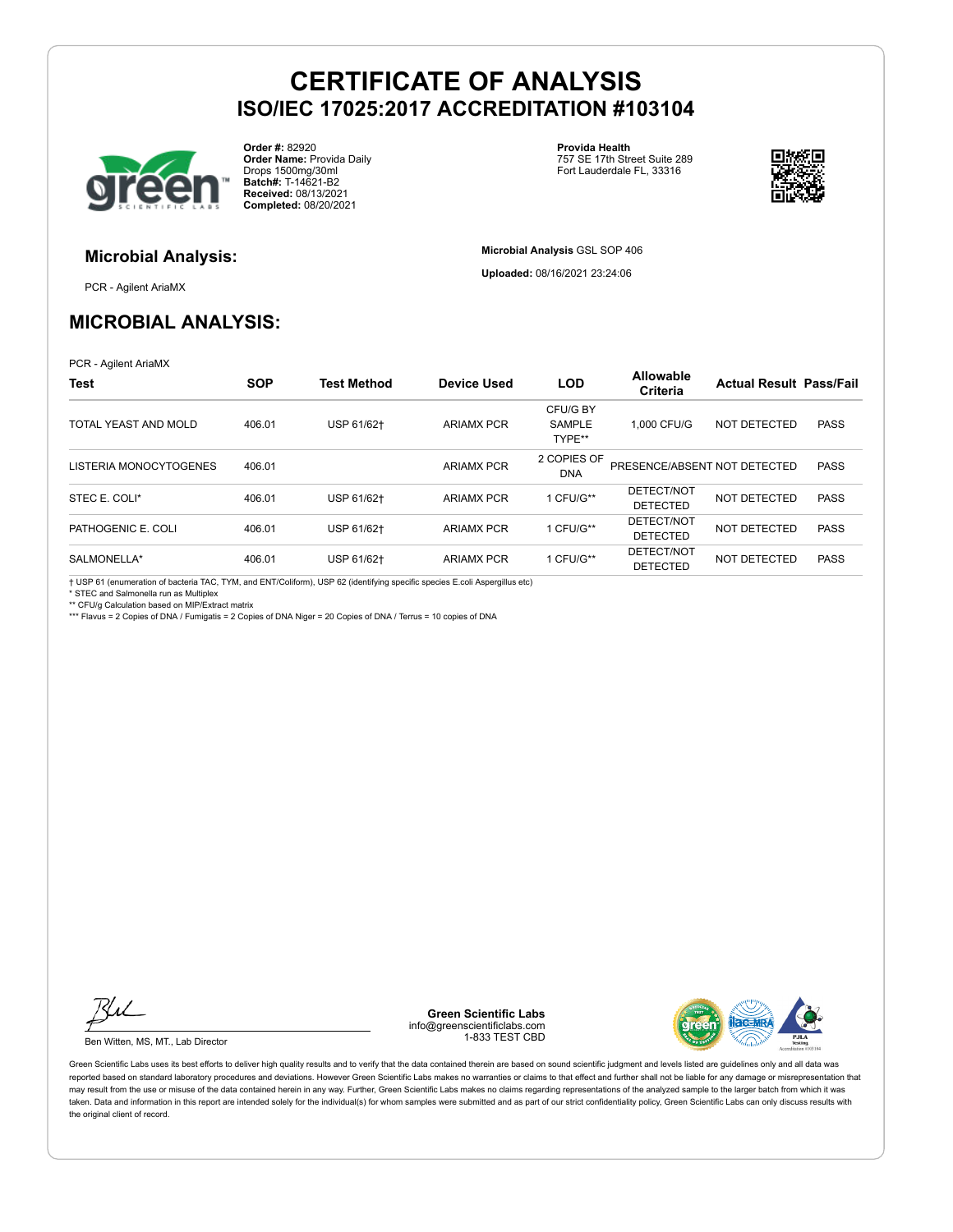

**Order #:** 82920 **Order Name:** Provida Daily Drops 1500mg/30ml **Batch#:** T-14621-B2 **Received:** 08/13/2021 **Completed:** 08/20/2021

**Provida Health** 757 SE 17th Street Suite 289 Fort Lauderdale FL, 33316

**Microbial Analysis** GSL SOP 406 **Uploaded:** 08/16/2021 23:24:06



# **Microbial Analysis:**

PCR - Agilent AriaMX

### **MICROBIAL ANALYSIS:**

PCR - Agilent AriaMX

| <b>Test</b>            | <b>SOP</b> | <b>Test Method</b> | <b>Device Used</b> | <b>LOD</b>                          | Allowable<br>Criteria         | <b>Actual Result Pass/Fail</b> |             |
|------------------------|------------|--------------------|--------------------|-------------------------------------|-------------------------------|--------------------------------|-------------|
| TOTAL YEAST AND MOLD   | 406.01     | USP 61/62+         | <b>ARIAMX PCR</b>  | CFU/G BY<br><b>SAMPLE</b><br>TYPE** | 1.000 CFU/G                   | NOT DETECTED                   | <b>PASS</b> |
| LISTERIA MONOCYTOGENES | 406.01     |                    | <b>ARIAMX PCR</b>  | 2 COPIES OF<br><b>DNA</b>           | PRESENCE/ABSENT NOT DETECTED  |                                | <b>PASS</b> |
| STEC E. COLI*          | 406.01     | USP 61/62+         | <b>ARIAMX PCR</b>  | 1 CFU/G**                           | DETECT/NOT<br><b>DETECTED</b> | NOT DETECTED                   | <b>PASS</b> |
| PATHOGENIC E. COLI     | 406.01     | USP 61/62+         | <b>ARIAMX PCR</b>  | 1 CFU/G**                           | DETECT/NOT<br><b>DETECTED</b> | NOT DETECTED                   | <b>PASS</b> |
| SALMONELLA*            | 406.01     | USP 61/62+         | <b>ARIAMX PCR</b>  | 1 CFU/G**                           | DETECT/NOT<br><b>DETECTED</b> | NOT DETECTED                   | <b>PASS</b> |

† USP 61 (enumeration of bacteria TAC, TYM, and ENT/Coliform), USP 62 (identifying specific species E.coli Aspergillus etc)

\* STEC and Salmonella run as Multiplex

\*\* CFU/g Calculation based on MIP/Extract matrix

\*\*\* Flavus = 2 Copies of DNA / Fumigatis = 2 Copies of DNA Niger = 20 Copies of DNA / Terrus = 10 copies of DNA

Ku

Ben Witten, MS, MT., Lab Director

**Green Scientific Labs** info@greenscientificlabs.com 1-833 TEST CBD